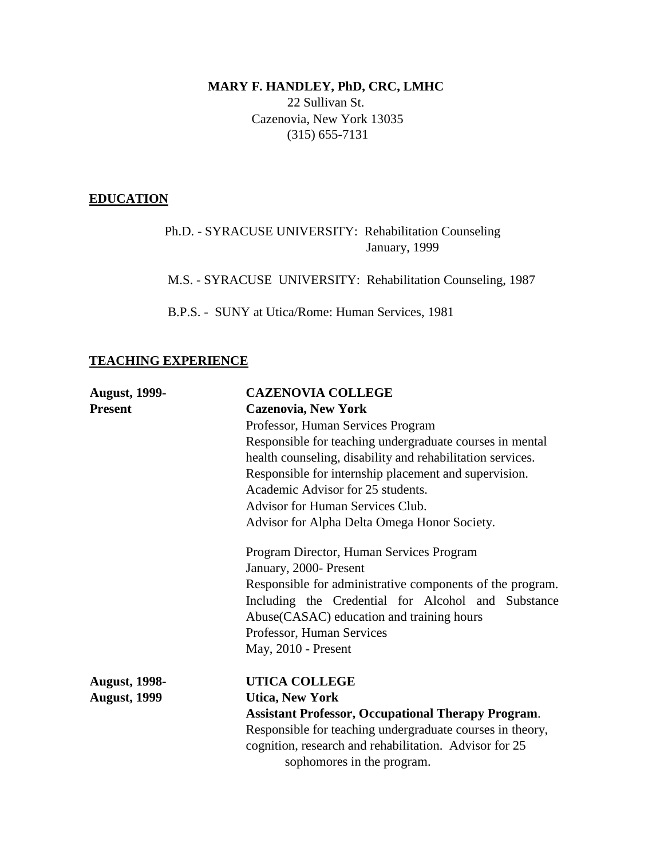# **MARY F. HANDLEY, PhD, CRC, LMHC** 22 Sullivan St. Cazenovia, New York 13035 (315) 655-7131

## **EDUCATION**

 Ph.D. - SYRACUSE UNIVERSITY: Rehabilitation Counseling January, 1999

M.S. - SYRACUSE UNIVERSITY: Rehabilitation Counseling, 1987

B.P.S. - SUNY at Utica/Rome: Human Services, 1981

# **TEACHING EXPERIENCE**

| <b>August, 1999-</b>                                   | <b>CAZENOVIA COLLEGE</b>                                                                                                                                                                                                                                        |                                                           |                                                           |
|--------------------------------------------------------|-----------------------------------------------------------------------------------------------------------------------------------------------------------------------------------------------------------------------------------------------------------------|-----------------------------------------------------------|-----------------------------------------------------------|
| <b>Present</b>                                         | <b>Cazenovia, New York</b>                                                                                                                                                                                                                                      |                                                           |                                                           |
|                                                        | Professor, Human Services Program                                                                                                                                                                                                                               |                                                           |                                                           |
|                                                        | Responsible for teaching undergraduate courses in mental<br>health counseling, disability and rehabilitation services.<br>Responsible for internship placement and supervision.<br>Academic Advisor for 25 students.<br><b>Advisor for Human Services Club.</b> |                                                           |                                                           |
|                                                        |                                                                                                                                                                                                                                                                 |                                                           | Advisor for Alpha Delta Omega Honor Society.              |
|                                                        |                                                                                                                                                                                                                                                                 |                                                           | Program Director, Human Services Program                  |
|                                                        |                                                                                                                                                                                                                                                                 |                                                           | January, 2000- Present                                    |
|                                                        |                                                                                                                                                                                                                                                                 |                                                           | Responsible for administrative components of the program. |
|                                                        | Including the Credential for Alcohol and Substance                                                                                                                                                                                                              |                                                           |                                                           |
|                                                        | Abuse (CASAC) education and training hours                                                                                                                                                                                                                      |                                                           |                                                           |
|                                                        | Professor, Human Services                                                                                                                                                                                                                                       |                                                           |                                                           |
|                                                        | May, 2010 - Present                                                                                                                                                                                                                                             |                                                           |                                                           |
|                                                        | <b>August, 1998-</b>                                                                                                                                                                                                                                            | <b>UTICA COLLEGE</b>                                      |                                                           |
|                                                        | <b>August, 1999</b>                                                                                                                                                                                                                                             | <b>Utica, New York</b>                                    |                                                           |
|                                                        |                                                                                                                                                                                                                                                                 | <b>Assistant Professor, Occupational Therapy Program.</b> |                                                           |
|                                                        |                                                                                                                                                                                                                                                                 | Responsible for teaching undergraduate courses in theory, |                                                           |
| cognition, research and rehabilitation. Advisor for 25 |                                                                                                                                                                                                                                                                 |                                                           |                                                           |
| sophomores in the program.                             |                                                                                                                                                                                                                                                                 |                                                           |                                                           |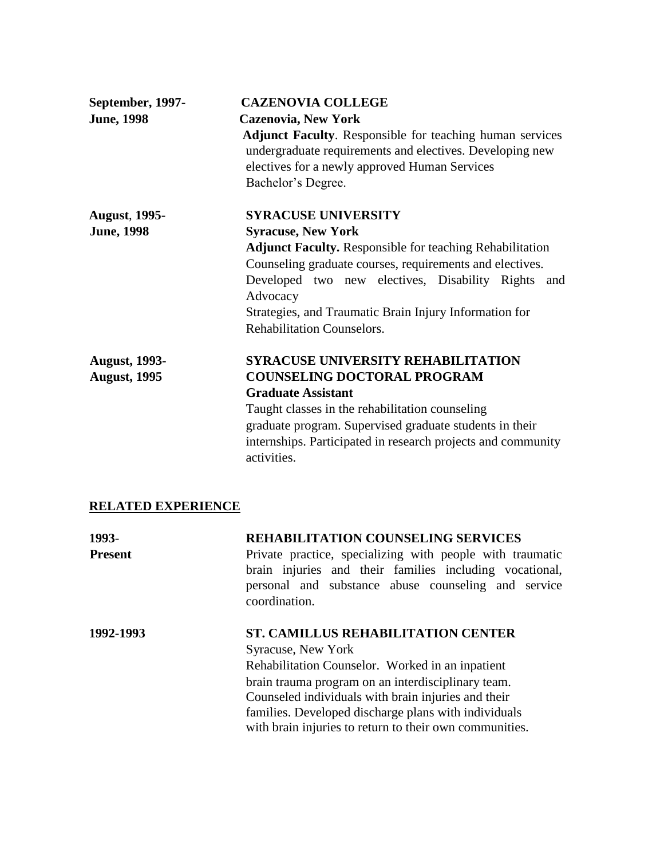| September, 1997-     | <b>CAZENOVIA COLLEGE</b>                                        |
|----------------------|-----------------------------------------------------------------|
| <b>June, 1998</b>    | <b>Cazenovia, New York</b>                                      |
|                      | Adjunct Faculty. Responsible for teaching human services        |
|                      | undergraduate requirements and electives. Developing new        |
|                      | electives for a newly approved Human Services                   |
|                      | Bachelor's Degree.                                              |
| <b>August, 1995-</b> | <b>SYRACUSE UNIVERSITY</b>                                      |
| <b>June</b> , 1998   | <b>Syracuse, New York</b>                                       |
|                      | <b>Adjunct Faculty.</b> Responsible for teaching Rehabilitation |
|                      | Counseling graduate courses, requirements and electives.        |
|                      | Developed two new electives, Disability Rights and              |
|                      | Advocacy                                                        |
|                      | Strategies, and Traumatic Brain Injury Information for          |
|                      | <b>Rehabilitation Counselors.</b>                               |
| <b>August, 1993-</b> | <b>SYRACUSE UNIVERSITY REHABILITATION</b>                       |
| <b>August, 1995</b>  | <b>COUNSELING DOCTORAL PROGRAM</b>                              |
|                      | <b>Graduate Assistant</b>                                       |
|                      | Taught classes in the rehabilitation counseling                 |
|                      | graduate program. Supervised graduate students in their         |
|                      | internships. Participated in research projects and community    |
|                      | activities.                                                     |

## **RELATED EXPERIENCE**

| 1993-<br><b>Present</b> | <b>REHABILITATION COUNSELING SERVICES</b><br>Private practice, specializing with people with traumatic<br>brain injuries and their families including vocational,<br>personal and substance abuse counseling and service<br>coordination.                                                                                                                  |
|-------------------------|------------------------------------------------------------------------------------------------------------------------------------------------------------------------------------------------------------------------------------------------------------------------------------------------------------------------------------------------------------|
| 1992-1993               | <b>ST. CAMILLUS REHABILITATION CENTER</b><br><b>Syracuse, New York</b><br>Rehabilitation Counselor. Worked in an inpatient<br>brain trauma program on an interdisciplinary team.<br>Counseled individuals with brain injuries and their<br>families. Developed discharge plans with individuals<br>with brain injuries to return to their own communities. |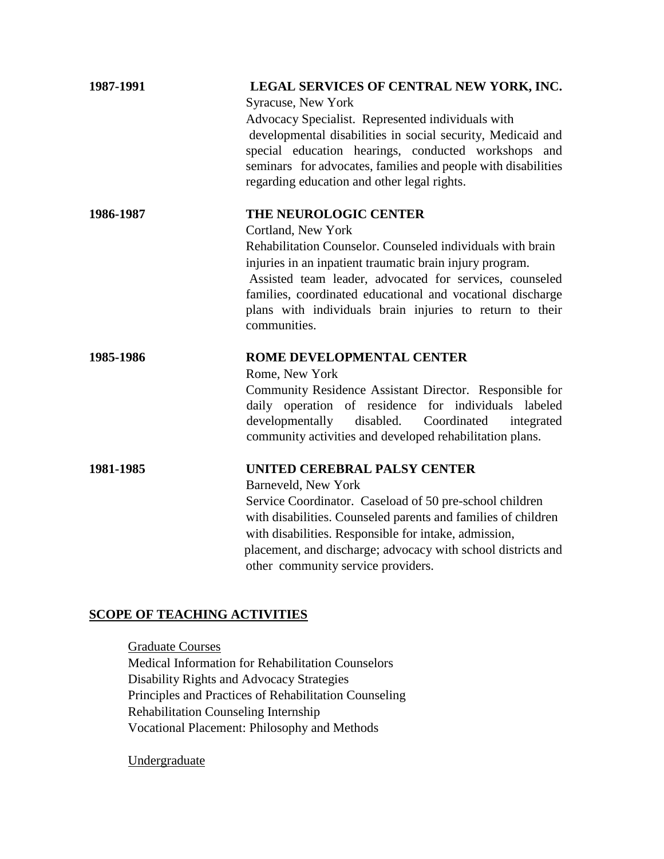| 1987-1991 | LEGAL SERVICES OF CENTRAL NEW YORK, INC.<br>Syracuse, New York                                                                                                                                                                                                                                                                                    |
|-----------|---------------------------------------------------------------------------------------------------------------------------------------------------------------------------------------------------------------------------------------------------------------------------------------------------------------------------------------------------|
|           | Advocacy Specialist. Represented individuals with<br>developmental disabilities in social security, Medicaid and<br>special education hearings, conducted workshops and<br>seminars for advocates, families and people with disabilities<br>regarding education and other legal rights.                                                           |
| 1986-1987 | THE NEUROLOGIC CENTER                                                                                                                                                                                                                                                                                                                             |
|           | Cortland, New York<br>Rehabilitation Counselor. Counseled individuals with brain<br>injuries in an inpatient traumatic brain injury program.<br>Assisted team leader, advocated for services, counseled<br>families, coordinated educational and vocational discharge<br>plans with individuals brain injuries to return to their<br>communities. |
| 1985-1986 | ROME DEVELOPMENTAL CENTER                                                                                                                                                                                                                                                                                                                         |
|           | Rome, New York<br>Community Residence Assistant Director. Responsible for<br>daily operation of residence for individuals labeled<br>developmentally<br>disabled. Coordinated<br>integrated<br>community activities and developed rehabilitation plans.                                                                                           |
| 1981-1985 | UNITED CEREBRAL PALSY CENTER<br>Barneveld, New York                                                                                                                                                                                                                                                                                               |
|           | Service Coordinator. Caseload of 50 pre-school children<br>with disabilities. Counseled parents and families of children<br>with disabilities. Responsible for intake, admission,<br>placement, and discharge; advocacy with school districts and<br>other community service providers.                                                           |

## **SCOPE OF TEACHING ACTIVITIES**

Graduate Courses Medical Information for Rehabilitation Counselors Disability Rights and Advocacy Strategies Principles and Practices of Rehabilitation Counseling Rehabilitation Counseling Internship Vocational Placement: Philosophy and Methods

**Undergraduate**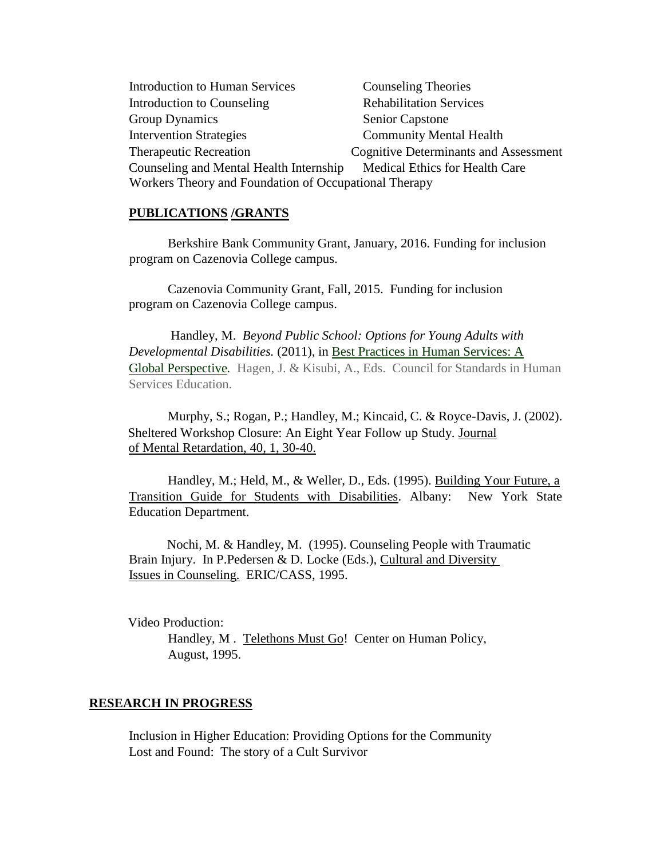Introduction to Human Services Counseling Theories Introduction to Counseling Rehabilitation Services Group Dynamics Senior Capstone Intervention Strategies Community Mental Health Therapeutic Recreation Cognitive Determinants and Assessment Counseling and Mental Health Internship Medical Ethics for Health Care Workers Theory and Foundation of Occupational Therapy

#### **PUBLICATIONS /GRANTS**

Berkshire Bank Community Grant, January, 2016. Funding for inclusion program on Cazenovia College campus.

 Cazenovia Community Grant, Fall, 2015. Funding for inclusion program on Cazenovia College campus.

Handley, M. *Beyond Public School: Options for Young Adults with Developmental Disabilities.* (2011), in Best Practices in Human Services: A Global Perspective*.* Hagen, J. & Kisubi, A., Eds. Council for Standards in Human Services Education.

Murphy, S.; Rogan, P.; Handley, M.; Kincaid, C. & Royce-Davis, J. (2002). Sheltered Workshop Closure: An Eight Year Follow up Study. Journal of Mental Retardation, 40, 1, 30-40.

Handley, M.; Held, M., & Weller, D., Eds. (1995). Building Your Future, a Transition Guide for Students with Disabilities. Albany: New York State Education Department.

Nochi, M. & Handley, M. (1995). Counseling People with Traumatic Brain Injury. In P.Pedersen & D. Locke (Eds.), Cultural and Diversity Issues in Counseling. ERIC/CASS, 1995.

Video Production: Handley, M . Telethons Must Go! Center on Human Policy, August, 1995.

#### **RESEARCH IN PROGRESS**

 Inclusion in Higher Education: Providing Options for the Community Lost and Found: The story of a Cult Survivor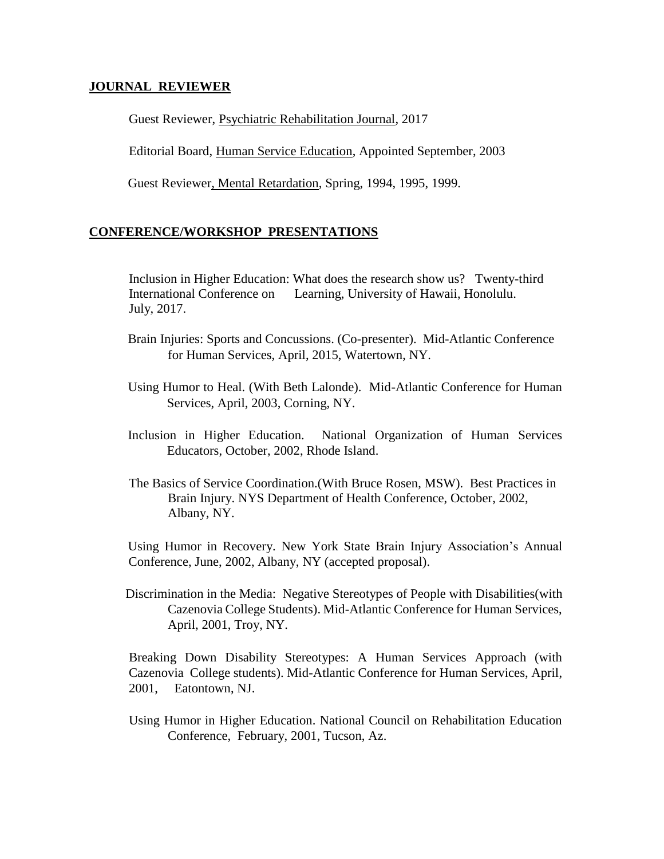#### **JOURNAL REVIEWER**

Guest Reviewer, Psychiatric Rehabilitation Journal, 2017

Editorial Board, Human Service Education, Appointed September, 2003

Guest Reviewer, Mental Retardation, Spring, 1994, 1995, 1999.

### **CONFERENCE/WORKSHOP PRESENTATIONS**

Inclusion in Higher Education: What does the research show us? Twenty-third International Conference on Learning, University of Hawaii, Honolulu. July, 2017.

- Brain Injuries: Sports and Concussions. (Co-presenter). Mid-Atlantic Conference for Human Services, April, 2015, Watertown, NY.
- Using Humor to Heal. (With Beth Lalonde). Mid-Atlantic Conference for Human Services, April, 2003, Corning, NY.
- Inclusion in Higher Education. National Organization of Human Services Educators, October, 2002, Rhode Island.
- The Basics of Service Coordination.(With Bruce Rosen, MSW). Best Practices in Brain Injury. NYS Department of Health Conference, October, 2002, Albany, NY.

Using Humor in Recovery. New York State Brain Injury Association's Annual Conference, June, 2002, Albany, NY (accepted proposal).

 Discrimination in the Media: Negative Stereotypes of People with Disabilities(with Cazenovia College Students). Mid-Atlantic Conference for Human Services, April, 2001, Troy, NY.

Breaking Down Disability Stereotypes: A Human Services Approach (with Cazenovia College students). Mid-Atlantic Conference for Human Services, April, 2001, Eatontown, NJ.

 Using Humor in Higher Education. National Council on Rehabilitation Education Conference, February, 2001, Tucson, Az.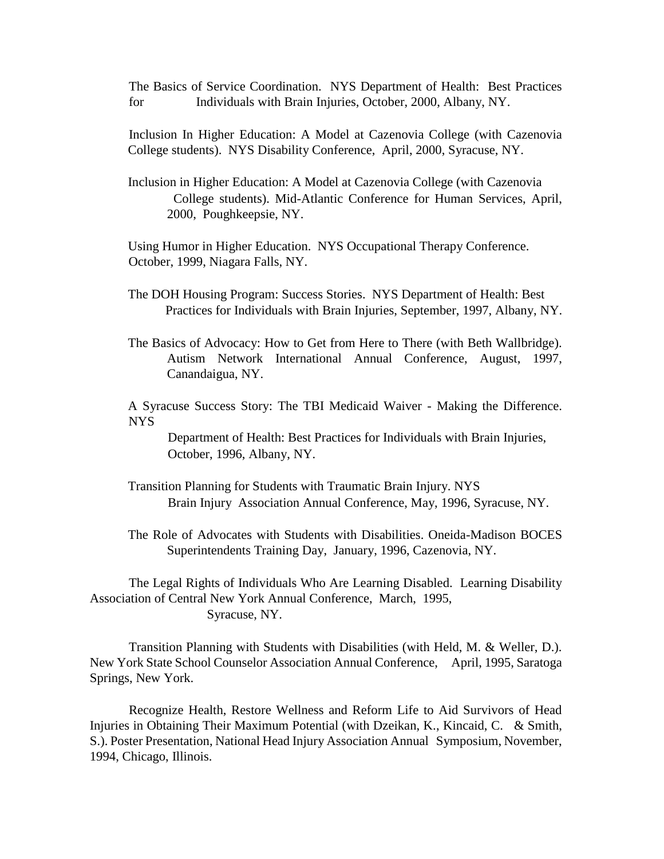The Basics of Service Coordination. NYS Department of Health: Best Practices for Individuals with Brain Injuries, October, 2000, Albany, NY.

Inclusion In Higher Education: A Model at Cazenovia College (with Cazenovia College students). NYS Disability Conference, April, 2000, Syracuse, NY.

Inclusion in Higher Education: A Model at Cazenovia College (with Cazenovia College students). Mid-Atlantic Conference for Human Services, April, 2000, Poughkeepsie, NY.

Using Humor in Higher Education. NYS Occupational Therapy Conference. October, 1999, Niagara Falls, NY.

The DOH Housing Program: Success Stories. NYS Department of Health: Best Practices for Individuals with Brain Injuries, September, 1997, Albany, NY.

The Basics of Advocacy: How to Get from Here to There (with Beth Wallbridge). Autism Network International Annual Conference, August, 1997, Canandaigua, NY.

A Syracuse Success Story: The TBI Medicaid Waiver - Making the Difference. NYS

Department of Health: Best Practices for Individuals with Brain Injuries, October, 1996, Albany, NY.

- Transition Planning for Students with Traumatic Brain Injury. NYS Brain Injury Association Annual Conference, May, 1996, Syracuse, NY.
- The Role of Advocates with Students with Disabilities. Oneida-Madison BOCES Superintendents Training Day, January, 1996, Cazenovia, NY.

The Legal Rights of Individuals Who Are Learning Disabled. Learning Disability Association of Central New York Annual Conference, March, 1995, Syracuse, NY.

Transition Planning with Students with Disabilities (with Held, M. & Weller, D.). New York State School Counselor Association Annual Conference, April, 1995, Saratoga Springs, New York.

Recognize Health, Restore Wellness and Reform Life to Aid Survivors of Head Injuries in Obtaining Their Maximum Potential (with Dzeikan, K., Kincaid, C. & Smith, S.). Poster Presentation, National Head Injury Association Annual Symposium, November, 1994, Chicago, Illinois.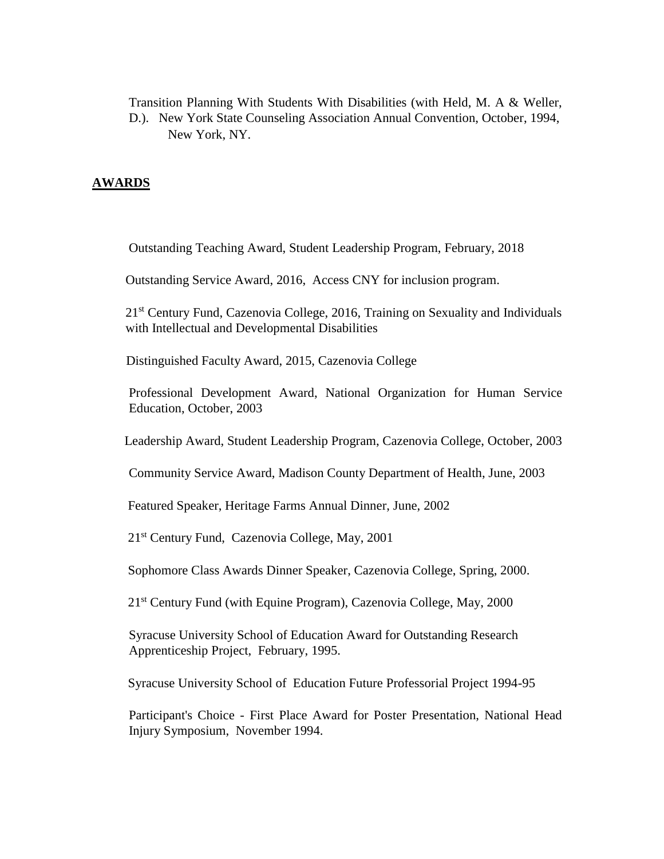Transition Planning With Students With Disabilities (with Held, M. A & Weller, D.). New York State Counseling Association Annual Convention, October, 1994, New York, NY.

### **AWARDS**

Outstanding Teaching Award, Student Leadership Program, February, 2018

Outstanding Service Award, 2016, Access CNY for inclusion program.

21<sup>st</sup> Century Fund, Cazenovia College, 2016, Training on Sexuality and Individuals with Intellectual and Developmental Disabilities

Distinguished Faculty Award, 2015, Cazenovia College

Professional Development Award, National Organization for Human Service Education, October, 2003

Leadership Award, Student Leadership Program, Cazenovia College, October, 2003

Community Service Award, Madison County Department of Health, June, 2003

Featured Speaker, Heritage Farms Annual Dinner, June, 2002

21st Century Fund, Cazenovia College, May, 2001

Sophomore Class Awards Dinner Speaker, Cazenovia College, Spring, 2000.

21<sup>st</sup> Century Fund (with Equine Program), Cazenovia College, May, 2000

Syracuse University School of Education Award for Outstanding Research Apprenticeship Project, February, 1995.

Syracuse University School of Education Future Professorial Project 1994-95

Participant's Choice - First Place Award for Poster Presentation, National Head Injury Symposium, November 1994.